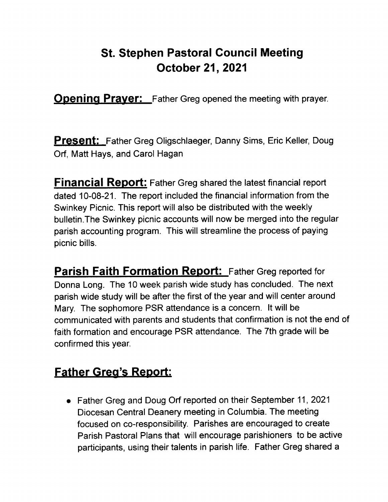## St. Stephen Pastoral Gouncil Meeting October 21,2021

**Opening Prayer:** Father Greg opened the meeting with prayer.

**Present:** Father Greg Oligschlaeger, Danny Sims, Eric Keller, Doug Orf, Matt Hays, and Carol Hagan

**Financial Report:** Father Greg shared the latest financial report dated 10-08-21. The report included the financial information from the Swinkey Picnic. This report will also be distributed with the weekly bulletin.The Swinkey picnic accounts will now be merged into the regular parish accounting program. This will streamline the process of paying picnic bills.

**Parish Faith Formation Report:** Father Greg reported for Donna Long. The 10 week parish wide study has concluded. The next parish wide study will be after the first of the year and will center around Mary. The sophomore PSR attendance is a concern. !t will be communicated with parents and students that confirmation is not the end of faith formation and encourage PSR attendance. The 7th grade will be confirmed this year.

## Father Greg's Report:

o Father Greg and Doug Orf reported on their September 11,2021 Diocesan Central Deanery meeting in Columbia. The meeting focused on co-responsibility. Parishes are encouraged to create Parish Pastoral Plans that wil! encourage parishioners to be active participants, using their talents in parish life. Father Greg shared a